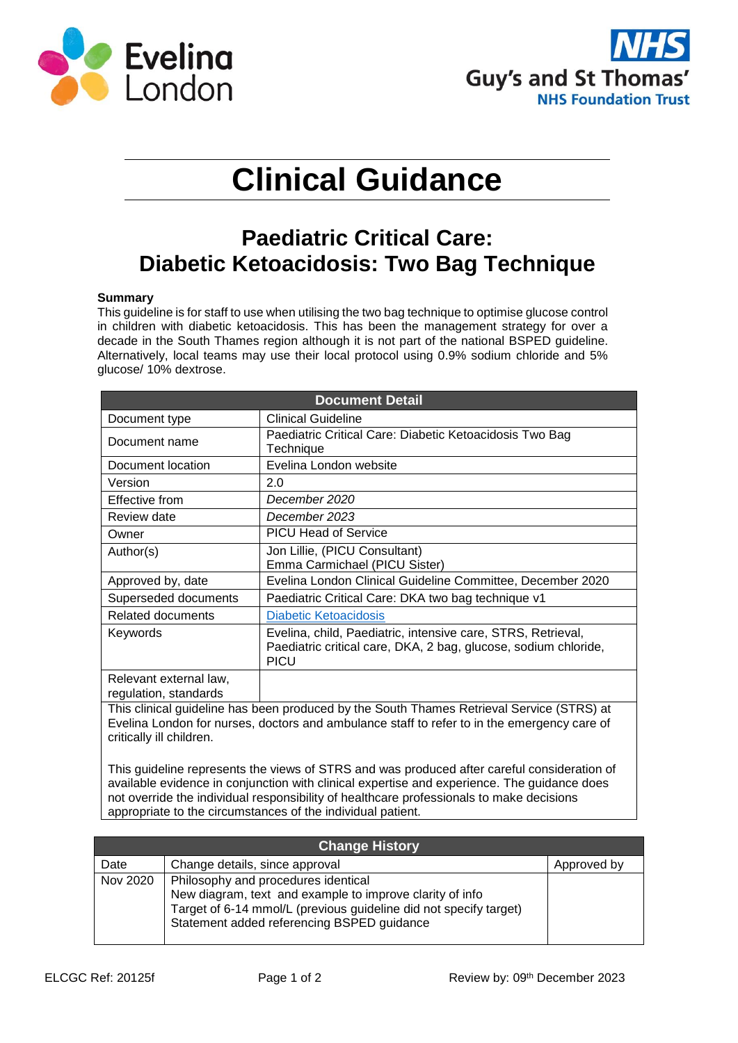



# **Clinical Guidance**

# **Paediatric Critical Care: Diabetic Ketoacidosis: Two Bag Technique**

#### **Summary**

This guideline is for staff to use when utilising the two bag technique to optimise glucose control in children with diabetic ketoacidosis. This has been the management strategy for over a decade in the South Thames region although it is not part of the national BSPED guideline. Alternatively, local teams may use their local protocol using 0.9% sodium chloride and 5% glucose/ 10% dextrose.

| <b>Document Detail</b>                                                                                                                                                                                               |                                                                                                                                                |  |  |  |  |
|----------------------------------------------------------------------------------------------------------------------------------------------------------------------------------------------------------------------|------------------------------------------------------------------------------------------------------------------------------------------------|--|--|--|--|
| Document type                                                                                                                                                                                                        | <b>Clinical Guideline</b>                                                                                                                      |  |  |  |  |
| Document name                                                                                                                                                                                                        | Paediatric Critical Care: Diabetic Ketoacidosis Two Bag<br>Technique                                                                           |  |  |  |  |
| Document location                                                                                                                                                                                                    | Evelina London website                                                                                                                         |  |  |  |  |
| Version                                                                                                                                                                                                              | 2.0                                                                                                                                            |  |  |  |  |
| Effective from                                                                                                                                                                                                       | December 2020                                                                                                                                  |  |  |  |  |
| Review date                                                                                                                                                                                                          | December 2023                                                                                                                                  |  |  |  |  |
| Owner                                                                                                                                                                                                                | <b>PICU Head of Service</b>                                                                                                                    |  |  |  |  |
| Author(s)                                                                                                                                                                                                            | Jon Lillie, (PICU Consultant)<br>Emma Carmichael (PICU Sister)                                                                                 |  |  |  |  |
| Approved by, date                                                                                                                                                                                                    | Evelina London Clinical Guideline Committee, December 2020                                                                                     |  |  |  |  |
| Superseded documents                                                                                                                                                                                                 | Paediatric Critical Care: DKA two bag technique v1                                                                                             |  |  |  |  |
| Related documents                                                                                                                                                                                                    | Diabetic Ketoacidosis                                                                                                                          |  |  |  |  |
| Keywords                                                                                                                                                                                                             | Evelina, child, Paediatric, intensive care, STRS, Retrieval,<br>Paediatric critical care, DKA, 2 bag, glucose, sodium chloride,<br><b>PICU</b> |  |  |  |  |
| Relevant external law,<br>regulation, standards                                                                                                                                                                      |                                                                                                                                                |  |  |  |  |
| This clinical guideline has been produced by the South Thames Retrieval Service (STRS) at<br>Evelina London for nurses, doctors and ambulance staff to refer to in the emergency care of<br>critically ill children. |                                                                                                                                                |  |  |  |  |

This guideline represents the views of STRS and was produced after careful consideration of available evidence in conjunction with clinical expertise and experience. The guidance does not override the individual responsibility of healthcare professionals to make decisions appropriate to the circumstances of the individual patient.

| <b>Change History</b> |                                                                                                                                                                                                                    |             |  |  |  |
|-----------------------|--------------------------------------------------------------------------------------------------------------------------------------------------------------------------------------------------------------------|-------------|--|--|--|
| Date                  | Change details, since approval                                                                                                                                                                                     | Approved by |  |  |  |
| Nov 2020              | Philosophy and procedures identical<br>New diagram, text and example to improve clarity of info<br>Target of 6-14 mmol/L (previous guideline did not specify target)<br>Statement added referencing BSPED guidance |             |  |  |  |